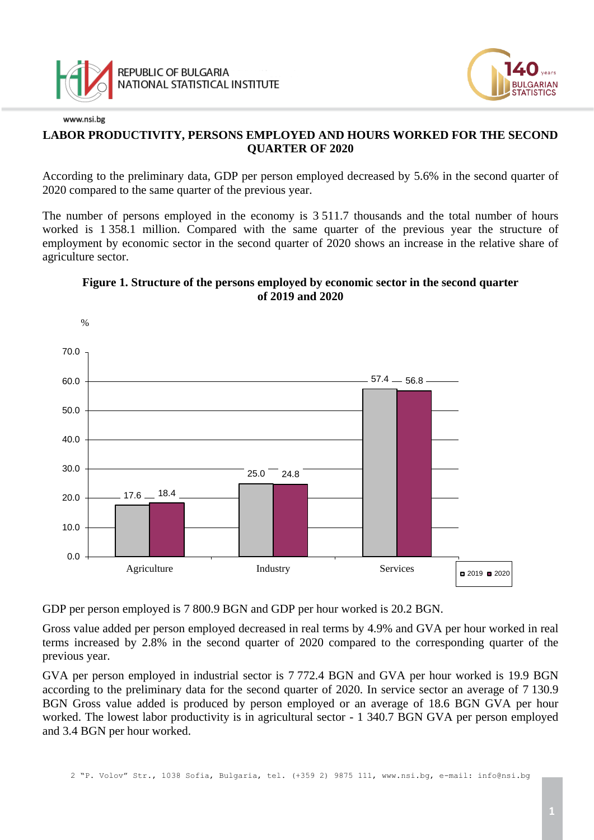





### **LABOR PRODUCTIVITY, PERSONS EMPLOYED AND HOURS WORKED FOR THE SECOND QUARTER OF 2020**

According to the preliminary data, GDP per person employed decreased by 5.6% in the second quarter of 2020 compared to the same quarter of the previous year.

The number of persons employed in the economy is 3 511.7 thousands and the total number of hours worked is 1 358.1 million. Compared with the same quarter of the previous year the structure of employment by economic sector in the second quarter of 2020 shows an increase in the relative share of agriculture sector.

## **Figure 1. Structure of the persons employed by economic sector in the second quarter of 2019 and 2020**



GDP per person employed is 7 800.9 BGN and GDP per hour worked is 20.2 BGN.

Gross value added per person employed decreased in real terms by 4.9% and GVA per hour worked in real terms increased by 2.8% in the second quarter of 2020 compared to the corresponding quarter of the previous year.

GVA per person employed in industrial sector is 7 772.4 BGN and GVA per hour worked is 19.9 BGN according to the preliminary data for the second quarter of 2020. In service sector an average of 7 130.9 BGN Gross value added is produced by person employed or an average of 18.6 BGN GVA per hour worked. The lowest labor productivity is in agricultural sector - 1 340.7 BGN GVA per person employed and 3.4 BGN per hour worked.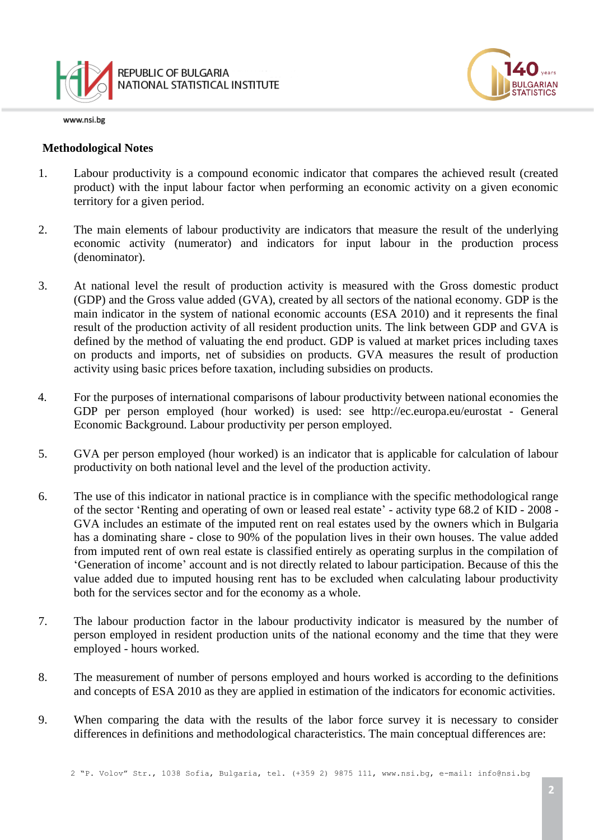

www.nsi.bg

#### **Methodological Notes**

- 1. Labour productivity is a compound economic indicator that compares the achieved result (created product) with the input labour factor when performing an economic activity on a given economic territory for a given period.
- 2. The main elements of labour productivity are indicators that measure the result of the underlying economic activity (numerator) and indicators for input labour in the production process (denominator).
- 3. At national level the result of production activity is measured with the Gross domestic product (GDP) and the Gross value added (GVA), created by all sectors of the national economy. GDP is the main indicator in the system of national economic accounts (ESA 2010) and it represents the final result of the production activity of all resident production units. The link between GDP and GVA is defined by the method of valuating the end product. GDP is valued at market prices including taxes on products and imports, net of subsidies on products. GVA measures the result of production activity using basic prices before taxation, including subsidies on products.
- 4. For the purposes of international comparisons of labour productivity between national economies the GDP per person employed (hour worked) is used: see http://ec.europa.eu/eurostat - General Economic Background. Labour productivity per person employed.
- 5. GVA per person employed (hour worked) is an indicator that is applicable for calculation of labour productivity on both national level and the level of the production activity.
- 6. The use of this indicator in national practice is in compliance with the specific methodological range of the sector 'Renting and operating of own or leased real estate' - activity type 68.2 of KID - 2008 - GVA includes an estimate of the imputed rent on real estates used by the owners which in Bulgaria has a dominating share - close to 90% of the population lives in their own houses. The value added from imputed rent of own real estate is classified entirely as operating surplus in the compilation of 'Generation of income' account and is not directly related to labour participation. Because of this the value added due to imputed housing rent has to be excluded when calculating labour productivity both for the services sector and for the economy as a whole.
- 7. The labour production factor in the labour productivity indicator is measured by the number of person employed in resident production units of the national economy and the time that they were employed - hours worked.
- 8. The measurement of number of persons employed and hours worked is according to the definitions and concepts of ESA 2010 as they are applied in estimation of the indicators for economic activities.
- 9. When comparing the data with the results of the labor force survey it is necessary to consider differences in definitions and methodological characteristics. The main conceptual differences are: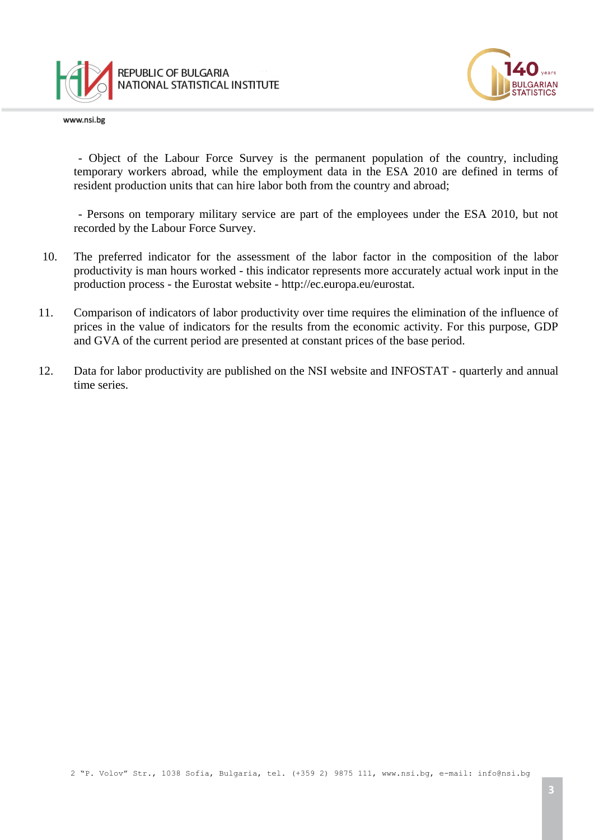

www.nsi.bg



- Object of the Labour Force Survey is the permanent population of the country, including temporary workers abroad, while the employment data in the ESA 2010 are defined in terms of resident production units that can hire labor both from the country and abroad;

- Persons on temporary military service are part of the employees under the ESA 2010, but not recorded by the Labour Force Survey.

- 10. The preferred indicator for the assessment of the labor factor in the composition of the labor productivity is man hours worked - this indicator represents more accurately actual work input in the production process - the Eurostat website - http://ec.europa.eu/eurostat.
- 11. Comparison of indicators of labor productivity over time requires the elimination of the influence of prices in the value of indicators for the results from the economic activity. For this purpose, GDP and GVA of the current period are presented at constant prices of the base period.
- 12. Data for labor productivity are published on the NSI website and INFOSTAT quarterly and annual time series.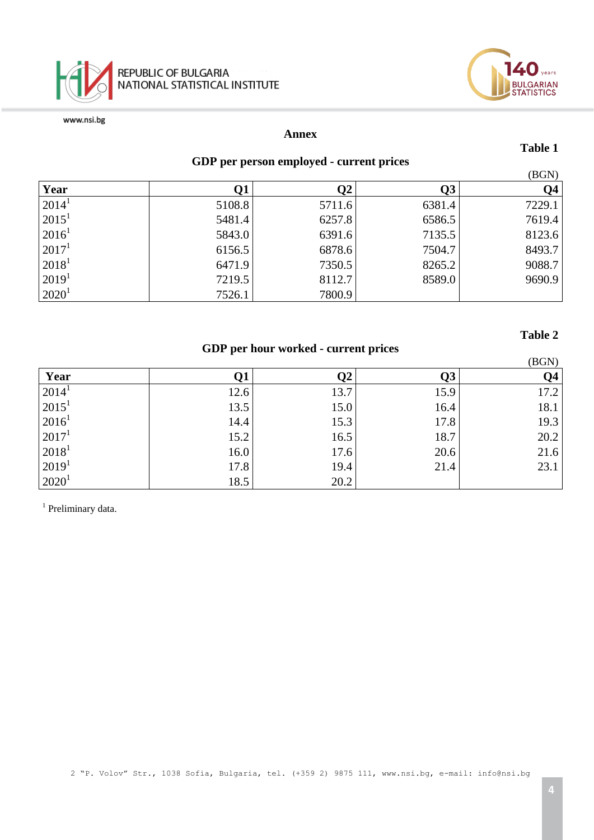



#### **Annex**

#### **Table 1**

LGARIAN<br>ATISTICS

 $(DCM)$ 

**Table 2**

# **GDP per person employed - current prices**

|                   |        |        |        | (DUIN)    |
|-------------------|--------|--------|--------|-----------|
| Year              |        | 02     |        | <b>O4</b> |
| $2014^1$          | 5108.8 | 5711.6 | 6381.4 | 7229.1    |
| $2015^1$          | 5481.4 | 6257.8 | 6586.5 | 7619.4    |
| $ 2016^1$         | 5843.0 | 6391.6 | 7135.5 | 8123.6    |
| $2017^1$          | 6156.5 | 6878.6 | 7504.7 | 8493.7    |
| $ 2018^1$         | 6471.9 | 7350.5 | 8265.2 | 9088.7    |
| 2019 <sup>1</sup> | 7219.5 | 8112.7 | 8589.0 | 9690.9    |
| $2020^1$          | 7526.1 | 7800.9 |        |           |

## **GDP per hour worked - current prices**

|                   | л.   |      | л.   | (BGN)          |
|-------------------|------|------|------|----------------|
| Year              | Q1   | Q2   | Q3   | Q <sub>4</sub> |
| $2014^1$          | 12.6 | 13.7 | 15.9 | 17.2           |
| $2015^1$          | 13.5 | 15.0 | 16.4 | 18.1           |
| $2016^1$          | 14.4 | 15.3 | 17.8 | 19.3           |
| 2017 <sup>1</sup> | 15.2 | 16.5 | 18.7 | 20.2           |
| $2018^1$          | 16.0 | 17.6 | 20.6 | 21.6           |
| $2019^1$          | 17.8 | 19.4 | 21.4 | 23.1           |
| $2020^1$          | 18.5 | 20.2 |      |                |

<sup>1</sup> Preliminary data.